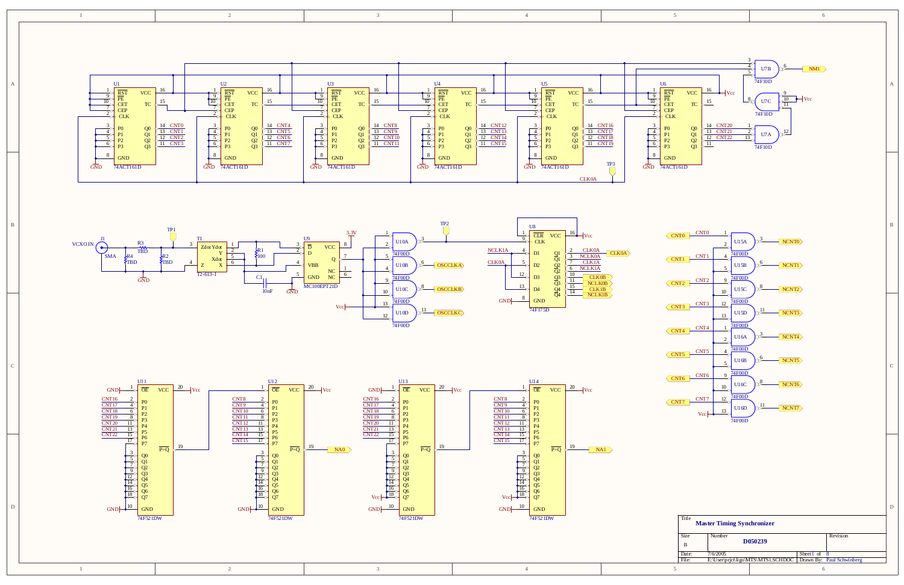D

C

B

A



| Title | <b>Master Timing Synchronizer</b> |                                    |               |                           |  |  |
|-------|-----------------------------------|------------------------------------|---------------|---------------------------|--|--|
| Size  | Number                            |                                    |               | Revision                  |  |  |
| B     |                                   | D <sub>050</sub> 239               |               |                           |  |  |
| Date: | 7/6/2005                          |                                    | Sheet1 of $8$ |                           |  |  |
| File: |                                   | E:\User\prjct\ligo\MTS\MTS1.SCHDOC |               | Drawn By: Paul Schwinberg |  |  |
|       |                                   |                                    |               |                           |  |  |





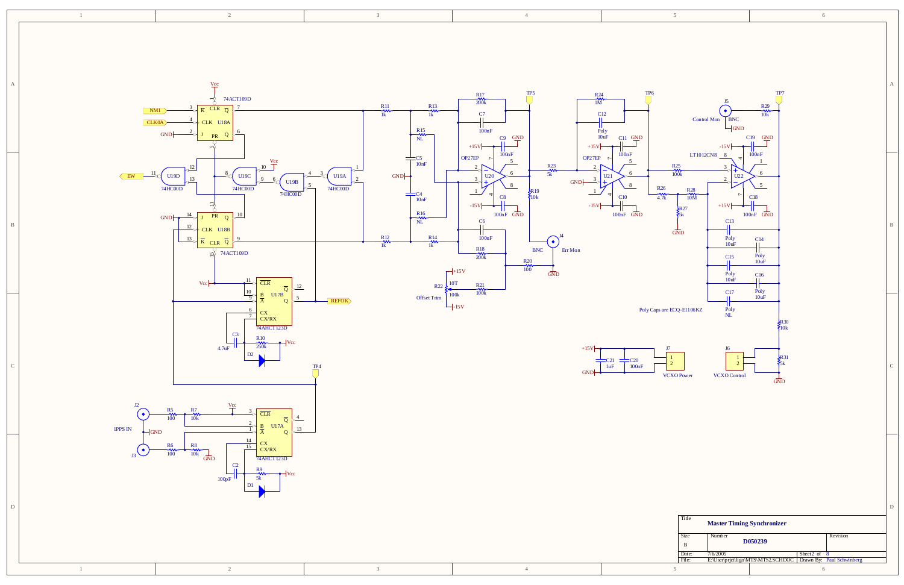

| 11 ue       | <b>Master Timing Synchronizer</b> |                                    |                  |                           |  |  |  |
|-------------|-----------------------------------|------------------------------------|------------------|---------------------------|--|--|--|
| <b>Size</b> | Number                            |                                    |                  | Revision                  |  |  |  |
| B           |                                   | D <sub>050</sub> 239               |                  |                           |  |  |  |
| Date:       | 7/6/2005                          |                                    | Sheet $2$ of $8$ |                           |  |  |  |
| File:       |                                   | E:\User\prjct\ligo\MTS\MTS2.SCHDOC |                  | Drawn By: Paul Schwinberg |  |  |  |
|             |                                   |                                    |                  |                           |  |  |  |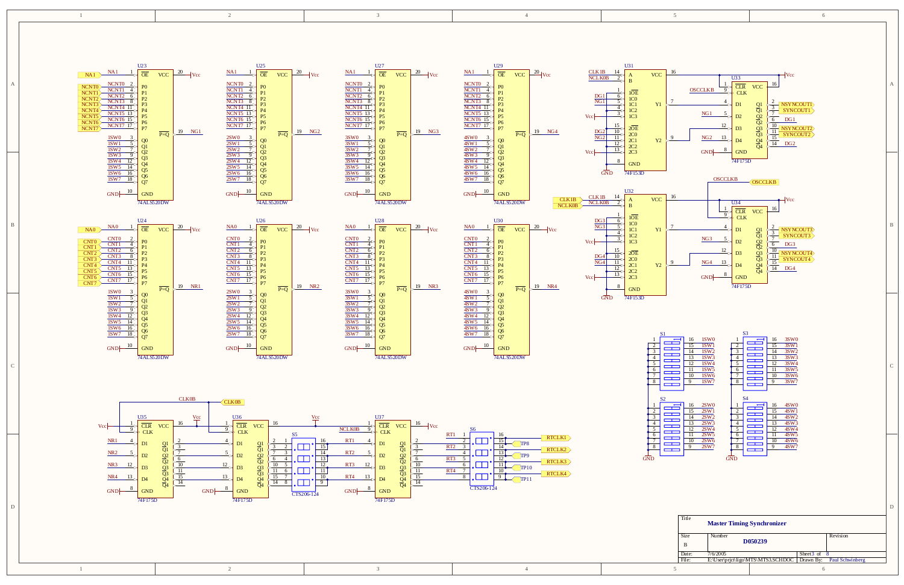D

C

B

74ALS520DW

 $\frac{18}{27}$   $\frac{80}{27}$ 

74ALS520DW

 $\frac{18}{27}$   $\frac{80}{27}$ 



 $\frac{10}{\text{GND}}$ 



 $\frac{10}{\text{GND}}$ 



 $\frac{10}{\text{GND}}$ 

 $\frac{18}{27}$  07

GND

1

GND

GND

| NCNT <sub>6</sub> 1<br><b>NCNT7 17</b>                                | $\frac{20}{\text{Vcc}}$<br><b>VCC</b>     | NA1<br>$\sqrt{\overline{OR}}$<br><b>VCC</b><br>NCNTO<br>NCNT1<br>NCNT2<br>CNT3<br><b>ICNT4 11</b><br>ICNT6 15 | U27<br>$\overline{\text{OE}}$<br><b>VCC</b><br>NCNT <sub>0</sub><br>$\frac{\frac{1}{2} \frac{1}{2} \frac{1}{2} \frac{1}{2}}{\frac{1}{2} \frac{1}{2} \frac{1}{2} \frac{1}{2} \frac{1}{2} \frac{1}{2} \frac{1}{2} \frac{1}{2} \frac{1}{2} \frac{1}{2} \frac{1}{2} \frac{1}{2} \frac{1}{2} \frac{1}{2} \frac{1}{2} \frac{1}{2} \frac{1}{2} \frac{1}{2} \frac{1}{2} \frac{1}{2} \frac{1}{2} \frac{1}{2} \frac{1}{2} \frac{1}{2} \frac{1}{2} \frac{1}{2} \frac{1}{2} \$<br>$\sqrt{\text{CNT3}}$ $\frac{8}{8}$ $\frac{P2}{P3}$<br>$\begin{array}{ccc}\n\text{NCNT4} & \text{11} & \text{P3} \\ \text{NCNT5} & \text{13} & \text{P4} \\ \text{NCNT6} & \text{15} & \text{P6} \\ \text{NCNT7} & \text{17} & \text{P7}\n\end{array}$ | U29<br>$\overline{OE}$<br>$\frac{NA1}{A}$<br>$\frac{20}{\text{Vcc}}$<br>VCC<br>NCNTO 2<br>NCNT1 4<br>NCNT2 6<br>NCNT3 8<br>NCNT5 13<br>NCNT5 13<br>NCNT5 15<br>NCNT5 17 | U31<br>$\frac{\text{CLK1B}}{\text{NCLK0B}}$ $\frac{14}{2}$<br><b>VCC</b><br>CLR<br><b>OSCCLKB</b><br><b>CLK</b><br>NG1                              | Vcc<br><b>VCC</b><br>NSYNCOUT |  |
|-----------------------------------------------------------------------|-------------------------------------------|---------------------------------------------------------------------------------------------------------------|-----------------------------------------------------------------------------------------------------------------------------------------------------------------------------------------------------------------------------------------------------------------------------------------------------------------------------------------------------------------------------------------------------------------------------------------------------------------------------------------------------------------------------------------------------------------------------------------------------------------------------------------------------------------------------------------------------------------------------|-------------------------------------------------------------------------------------------------------------------------------------------------------------------------|-----------------------------------------------------------------------------------------------------------------------------------------------------|-------------------------------|--|
| $\frac{1SW0}{1SW1}$<br>$\frac{1{\text{SW6}}}{1{\text{SW7}} \cdot 18}$ | $19$ NG1<br>$\overline{P} = \overline{Q}$ | $\overline{P} = Q$ $\downarrow$ $\frac{19}{2}$<br>2SW0<br>2SW1<br>$\frac{2SW6}{2SW7 \quad 18}$                | $19$ NG <sub>2</sub><br>$\overline{P} = Q$ $\overline{Q}$ $\overline{Q}$ $\overline{Q}$ $\overline{Q}$<br>SW <sub>0</sub><br>$\frac{38W5}{38W6}$ $\frac{14}{16}$ $\frac{14}{9}$ $\frac{14}{9}$ $\frac{14}{9}$ $\frac{14}{9}$ $\frac{14}{9}$ $\frac{14}{9}$ $\frac{14}{9}$                                                                                                                                                                                                                                                                                                                                                                                                                                                   | 19 NG4<br>$\overline{P} = \overline{O}$<br>$\frac{4SW0}{SW1}$<br>$\frac{48W}{48W}$ $\frac{18}{18}$ $\frac{8}{97}$                                                       | NG2<br>$\frac{13}{2}$ $\frac{22}{2}$<br>GND<br>74F175D<br>$\sim$ 8 GND<br>GND<br>74F153D<br>$\overline{\text{OSCCLKB}}$ $\overline{\text{OSCCLVP}}$ | $\sqrt{14}$ DG <sub>2</sub>   |  |



| <b>Size</b> | Number   |                                                |                  | Revision               |
|-------------|----------|------------------------------------------------|------------------|------------------------|
| B           |          | D <sub>050</sub> 239                           |                  |                        |
| Date:       | 7/6/2005 |                                                | Sheet $3$ of $8$ |                        |
| File:       |          | E:\User\prict\ligo\MTS\MTS3.SCHDOC   Drawn By: |                  | <b>Paul Schwinberg</b> |
|             |          |                                                | n                |                        |



GND

NG3

NG4

DG3

DG4

 $\frac{10}{\text{GND}}$ 

 $\frac{18}{27}$  07

Vcc

Vcc



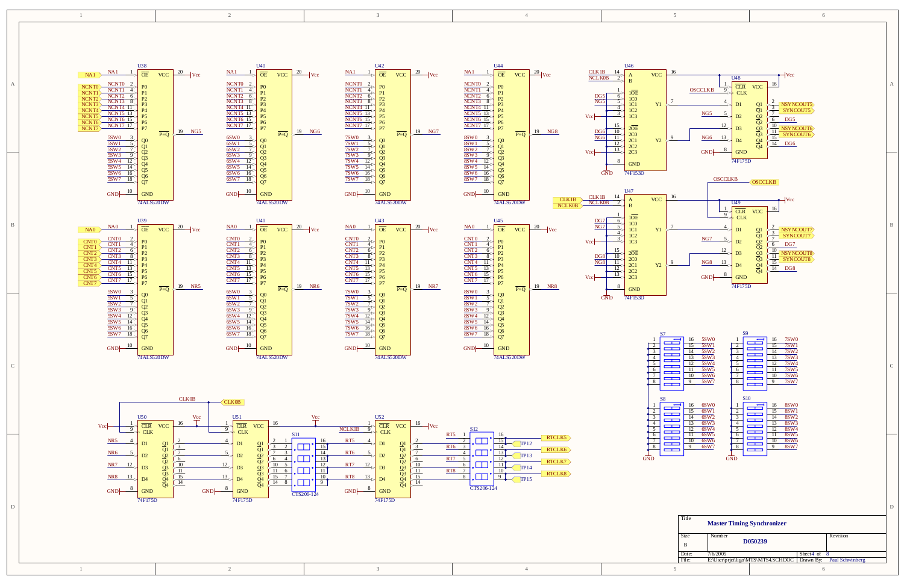

D

C





|              |                                                                                                                                                                                                                                            | 2                                                                                                                                                                                                                                                                                                                                                                                                                                                                                                     |                                                                                                                                                                                                                                                                                                                                                                                                                                                                 | $\overline{4}$                                                                                                                                                                                                                                                                                                                                                                                                                                                                                                                  |                                                                                                                                                                                                                                                                                                                                                                                                                                                                                                                                                                                                                                                                                                                                                                                                                                                                                                                                       | 6                                                                                                                                                                                                                                               |  |
|--------------|--------------------------------------------------------------------------------------------------------------------------------------------------------------------------------------------------------------------------------------------|-------------------------------------------------------------------------------------------------------------------------------------------------------------------------------------------------------------------------------------------------------------------------------------------------------------------------------------------------------------------------------------------------------------------------------------------------------------------------------------------------------|-----------------------------------------------------------------------------------------------------------------------------------------------------------------------------------------------------------------------------------------------------------------------------------------------------------------------------------------------------------------------------------------------------------------------------------------------------------------|---------------------------------------------------------------------------------------------------------------------------------------------------------------------------------------------------------------------------------------------------------------------------------------------------------------------------------------------------------------------------------------------------------------------------------------------------------------------------------------------------------------------------------|---------------------------------------------------------------------------------------------------------------------------------------------------------------------------------------------------------------------------------------------------------------------------------------------------------------------------------------------------------------------------------------------------------------------------------------------------------------------------------------------------------------------------------------------------------------------------------------------------------------------------------------------------------------------------------------------------------------------------------------------------------------------------------------------------------------------------------------------------------------------------------------------------------------------------------------|-------------------------------------------------------------------------------------------------------------------------------------------------------------------------------------------------------------------------------------------------|--|
| A            | NA1 NA1 1<br>NA1 NA1 1<br>NEW TO THE PO<br>NEW TO THE PO<br>NEW TO THE PO<br>NEW TO THE POST OF PO<br>NEW TO THE POST OF POST NEW TO THE POST OF POST NEW TO THE POST OF POST NEW TO THE POST NEW TO THE POST NAMED POST NAMED IN POST NAM | $\overline{P}=\overline{Q}$ 19 NG6<br>$19$ NG5<br>$\overline{P}=\overline{Q}$                                                                                                                                                                                                                                                                                                                                                                                                                         | $\begin{array}{ c c c c c }\hline \text{NA1} & 1 & 042 \\ \hline \text{NCNT 0} & 2 & \text{PO} & \text{VCC} \\ \hline \text{NCNT 1} & 4 & \text{OIE} & \text{VCC} & 20 \\ \hline \text{NCNT 2} & 6 & \text{PO} & \text{PO} \\ \hline \text{NCNT 3} & 8 & \text{PO} & \text{PO} \\ \hline \text{NCNT 4} & 11 & \text{PO} & \text{PO} \\ \hline \text{NCNT 5} & 13 & \text{PO} & \text{PO} \\ \hline \text{NCNT 6} & 15$<br>$\overline{P=Q}$ $\rightarrow$ 19 NG7 | $P=Q$ $19 NGS$                                                                                                                                                                                                                                                                                                                                                                                                                                                                                                                  | $\underline{U46}$<br>$\frac{\text{CLK1B}}{\text{NCLK0B}}$ $\frac{14}{2}$<br><b>VCC</b><br>$\frac{1}{\frac{9}{2}} \times \frac{1}{\text{CLR}}$<br><b>OSCCLKB</b><br>$\frac{1\overline{\mathrm{OE}}}{1\mathrm{CO}}$ 1C0<br>1C1<br>$\begin{array}{c c}\n\hline\n6 & 10E \\ \hline\n5 & 10 \\ 101 & 102 \\ \hline\n3 & 103\n\end{array}$<br>Y1<br>NG5<br>$\frac{12}{NG6}$ $\frac{13}{N}$ $\frac{12}{N}$ $\frac{13}{N}$ $\frac{13}{N}$ $\frac{13}{N}$ $\frac{13}{N}$ $\frac{13}{N}$ $\frac{13}{N}$ $\frac{13}{N}$ $\frac{13}{N}$ $\frac{13}{N}$ $\frac{13}{N}$ $\frac{13}{N}$ $\frac{13}{N}$ $\frac{13}{N}$ $\frac{13}{N}$ $\frac{13}{N}$ $\frac{13}{N}$ $\frac{13}{N}$<br>$\begin{array}{c c c}\n & 15 & 20E \\ \hline\n16 & 10 & 200 \\ \hline\n16 & 11 & 200 \\ \hline\n & 12 & 201 \\ \hline\n & 13 & 202 \\ \hline\n & 203 & 203\n\end{array}$<br>$\frac{DG6}{NG6}$<br><b>Y2</b><br>$\begin{array}{c c}\n8 & \text{GND}\n\end{array}$ | $\overline{\mathsf{Vcc}}$<br><b>VCC</b><br>$\begin{tabular}{ c  c} 2 & NSYNCOUT5 \\ \hline \hline 7 & SNNCOUT5 \\ \hline \hline 6 & DG5 \\ \hline 10 & NSYNCOUT6 \\ \hline 15 & SNCCUTE \\ \hline 14 & DG6 \\ \hline \end{tabular}$<br>22999999 |  |
| $\mathbf{B}$ | $GND$ $\begin{array}{ c c c c c } \hline 10 & GND \end{array}$<br>74 ALS520 DW                                                                                                                                                             | $GND$ $\begin{array}{ c c c c c } \hline 10 & GND \end{array}$<br>74ALS520DW<br>$\begin{array}{c c c} \text{NA0} & 141 & & & \\ \hline \text{NE} & \text{VCC} & 20 & & \\ \hline \text{CNT0} & 2 & & \text{PO} & \\ \hline \text{CNT1} & 4 & & \text{P1} & \\ \hline \text{CNT2} & 6 & & \text{P2} & \\ \hline \text{CNT3} & 8 & & \text{P2} & \\ \hline \text{CNT4} & 11 & & \text{P4} & \\ \hline \text{CNT5} & 13 & & \text{P4} & \\ \hline \text{CNT6} & 15 & & \text{P6} & \\ \hline \text{CNT7$ | 74ALS520DW<br>$\begin{array}{c c c} \text{NA0} & 143 & & & \\ \hline \text{NA0} & 1 & & \overline{\text{OE}} & \text{VCC} & 20 & \text{Vcc} \\ \hline \text{CNT0} & 2 & & \text{PO} & & \\ \hline \text{CNT1} & 4 & & \text{P1} & & \\ \hline \text{CNT2} & 6 & & \text{P2} & & \\ \hline \text{CNT3} & 8 & & \text{P2} & & \\ \hline \text{CNT4} & 11 & & \text{P4} & & \\ \hline \text{CNT5} & 13 & & \text{P4} & & \\ \hline \text{CNT6} & 15 &$             | $GND$ $\begin{array}{ c c c c c } \hline 10 & & & & \hline \end{array}$<br><b>CLK1B</b><br>74ALS520DW<br>$\begin{array}{c c c} \text{NA0} & \text{U45} & \text{VCC} & \text{20} & \text{Vcc} \\ \hline \text{CNT0} & \text{2} & \text{PO} & \text{20} & \text{Vcc} \\ \hline \text{CNT1} & \text{4} & \text{PO} & \text{P1} & \text{CNT2} & \text{6} \\ \hline \text{CNT1} & \text{6} & \text{P2} & \text{P2} & \text{P3} & \text{P4} \\ \hline \text{CNT3} & \text{8} & \text{P4} & \text{P5} & \text{P6} & \text{P5} & \text$ | 74F153D<br>GND<br>OSCCLKB OSCCLKB<br>U47<br>16<br>CLK1B 14<br><b>VCC</b><br>$\underbrace{\frac{1}{9} \triangleright \frac{\overline{U49}}{\overline{CLR}}}_{CLK}$<br>$\begin{array}{c c}\n-1 & 10E \\ \hline\n6 & 1C0 \\ \hline\n5 & 1C0 \\ \hline\n4 & 1C1 \\ \hline\n3 & 1C2 \\ \hline\n1 & 1C3\n\end{array}$<br><b>Y1</b><br>$\frac{NG7}{12} \Rightarrow \frac{5}{D2}$<br>$V = \frac{15}{15}$<br>$\frac{15}{20E}$<br>$\frac{15}{10}$<br>$\frac{20}{201}$<br>$\frac{15}{201}$<br>$\frac{20}{202}$<br>$\frac{13}{203}$<br>$\frac{\text{NG8}}{\text{M}}$ $\frac{13}{\text{M}}$<br><b>Y2</b><br>$GND$ $8$ $GND$<br>$\sim$                                                                                                                                                                                                                                                                                                              | 16<br>VCC<br>$\begin{tabular}{c c} 2 & NSYNCOUT7 \ \hline 7 & SYNCOUT7 \ \hline 6 & DG7 \ \hline 10 & NSYNCOUT8 \ \hline 15 & SYNCOUT8 \ \hline 14 & DG8 \ \hline \end{tabular}$<br>22999999                                                    |  |

| Title<br><b>Master Timing Synchronizer</b> |          |                                    |                  |                 |  |
|--------------------------------------------|----------|------------------------------------|------------------|-----------------|--|
| <b>Size</b>                                | Number   |                                    |                  | Revision        |  |
| B                                          |          | D050239                            |                  |                 |  |
| Date:                                      | 7/6/2005 |                                    | Sheet $4$ of $8$ |                 |  |
| File:                                      |          | E:\User\prict\ligo\MTS\MTS4.SCHDOC | Drawn By:        | Paul Schwinberg |  |
|                                            |          |                                    | $\sigma$         |                 |  |







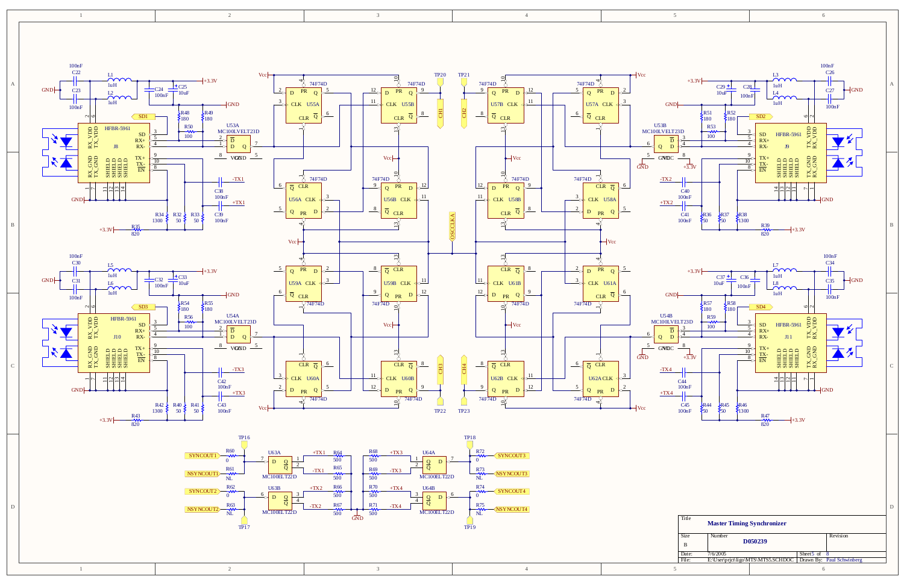2

3

3

1

4



|       |          | DUSU 43Y                           |                       |                           |
|-------|----------|------------------------------------|-----------------------|---------------------------|
| Date: | 7/6/2005 |                                    | Sheet <sub>5</sub> of |                           |
| File: |          | E:\User\prict\ligo\MTS\MTS5.SCHDOC |                       | Drawn By: Paul Schwinberg |
|       |          |                                    |                       |                           |

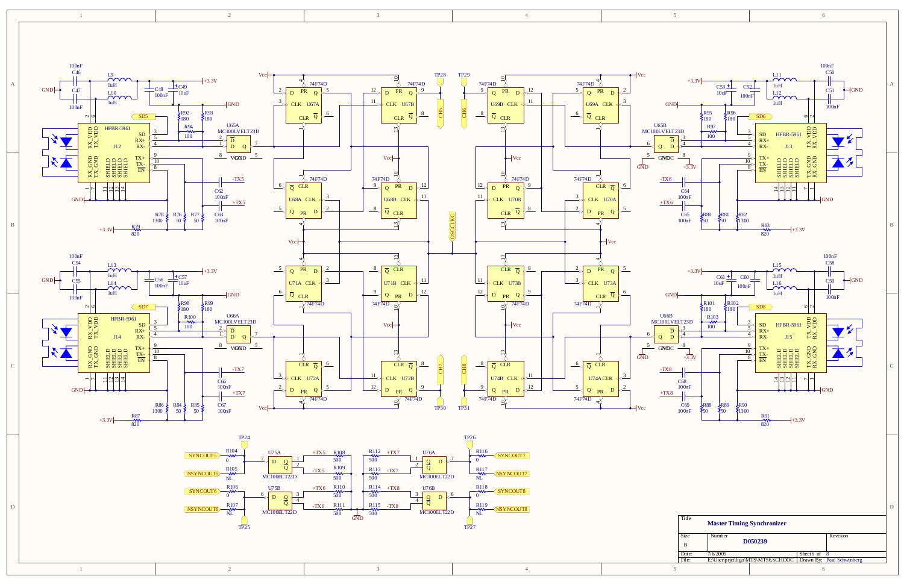2

2

3

3

1

4



| <b>Size</b> | <b>Master Thinnig Synchromzer</b><br>Number | D <sub>050</sub> 239               |                | Revision                  |
|-------------|---------------------------------------------|------------------------------------|----------------|---------------------------|
| B           |                                             |                                    |                |                           |
| Date:       | 7/6/2005                                    |                                    | Sheet 6 of $8$ |                           |
| File:       |                                             | E:\User\prict\ligo\MTS\MTS6.SCHDOC |                | Drawn By: Paul Schwinberg |
|             |                                             |                                    |                |                           |

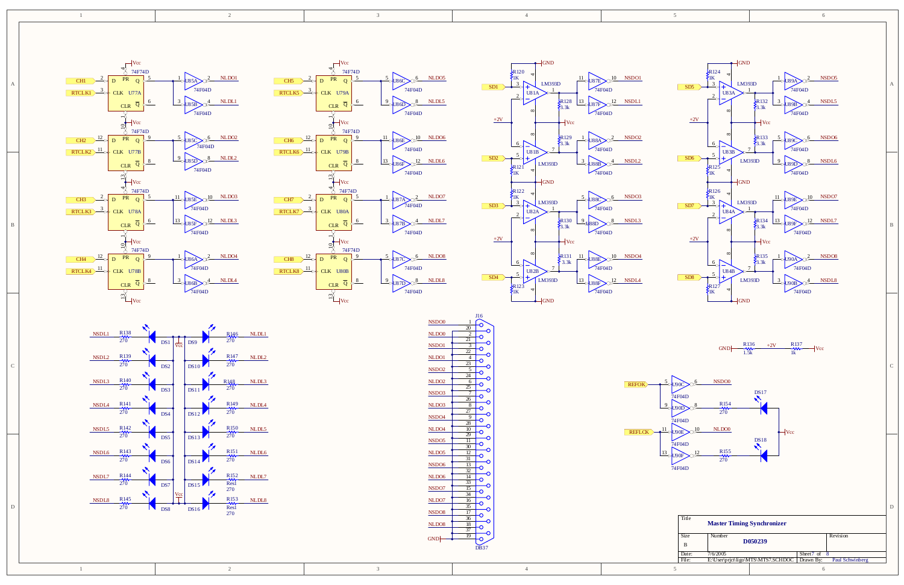



D

C

B

A









| <b>Size</b><br>B | Number   | D <sub>050239</sub>                |                       | Revision        |
|------------------|----------|------------------------------------|-----------------------|-----------------|
| Date:            | 7/6/2005 |                                    | Sheet $7 \text{ of }$ |                 |
| File:            |          | E:\User\prict\ligo\MTS\MTS7.SCHDOC | Drawn By:             | Paul Schwinberg |
|                  |          |                                    |                       |                 |

9

11

13



1





REFLCK